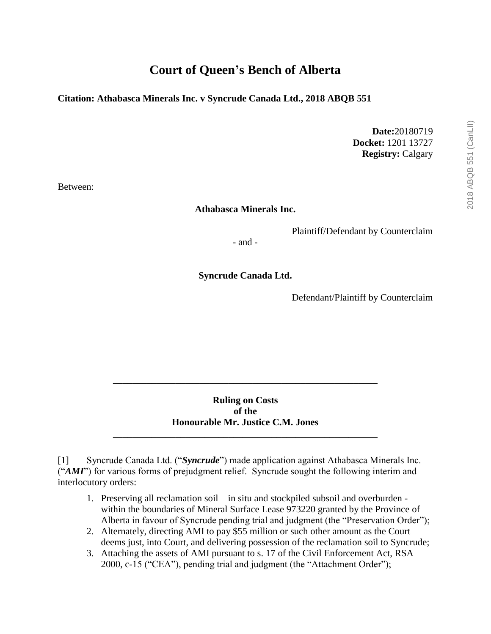# **Court of Queen's Bench of Alberta**

### **Citation: Athabasca Minerals Inc. v Syncrude Canada Ltd., 2018 ABQB 551**

**Date:**20180719 **Docket:** 1201 13727 **Registry:** Calgary

Between:

#### **Athabasca Minerals Inc.**

Plaintiff/Defendant by Counterclaim

- and -

**Syncrude Canada Ltd.**

Defendant/Plaintiff by Counterclaim

### **Ruling on Costs of the Honourable Mr. Justice C.M. Jones \_\_\_\_\_\_\_\_\_\_\_\_\_\_\_\_\_\_\_\_\_\_\_\_\_\_\_\_\_\_\_\_\_\_\_\_\_\_\_\_\_\_\_\_\_\_\_\_\_\_\_\_\_\_\_**

**\_\_\_\_\_\_\_\_\_\_\_\_\_\_\_\_\_\_\_\_\_\_\_\_\_\_\_\_\_\_\_\_\_\_\_\_\_\_\_\_\_\_\_\_\_\_\_\_\_\_\_\_\_\_\_**

[1] Syncrude Canada Ltd. ("*Syncrude*") made application against Athabasca Minerals Inc. ("*AMI*") for various forms of prejudgment relief. Syncrude sought the following interim and interlocutory orders:

- 1. Preserving all reclamation soil in situ and stockpiled subsoil and overburden within the boundaries of Mineral Surface Lease 973220 granted by the Province of Alberta in favour of Syncrude pending trial and judgment (the "Preservation Order");
- 2. Alternately, directing AMI to pay \$55 million or such other amount as the Court deems just, into Court, and delivering possession of the reclamation soil to Syncrude;
- 3. Attaching the assets of AMI pursuant to s. 17 of the Civil Enforcement Act, RSA 2000, c-15 ("CEA"), pending trial and judgment (the "Attachment Order");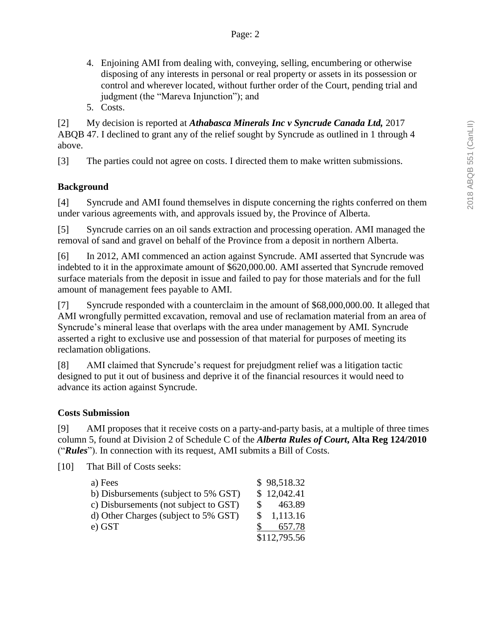- 4. Enjoining AMI from dealing with, conveying, selling, encumbering or otherwise disposing of any interests in personal or real property or assets in its possession or control and wherever located, without further order of the Court, pending trial and judgment (the "Mareva Injunction"); and
- 5. Costs.

[2] My decision is reported at *Athabasca Minerals Inc v Syncrude Canada Ltd,* 2017 ABQB 47. I declined to grant any of the relief sought by Syncrude as outlined in 1 through 4 above.

[3] The parties could not agree on costs. I directed them to make written submissions.

# **Background**

[4] Syncrude and AMI found themselves in dispute concerning the rights conferred on them under various agreements with, and approvals issued by, the Province of Alberta.

[5] Syncrude carries on an oil sands extraction and processing operation. AMI managed the removal of sand and gravel on behalf of the Province from a deposit in northern Alberta.

[6] In 2012, AMI commenced an action against Syncrude. AMI asserted that Syncrude was indebted to it in the approximate amount of \$620,000.00. AMI asserted that Syncrude removed surface materials from the deposit in issue and failed to pay for those materials and for the full amount of management fees payable to AMI.

[7] Syncrude responded with a counterclaim in the amount of \$68,000,000.00. It alleged that AMI wrongfully permitted excavation, removal and use of reclamation material from an area of Syncrude's mineral lease that overlaps with the area under management by AMI. Syncrude asserted a right to exclusive use and possession of that material for purposes of meeting its reclamation obligations.

[8] AMI claimed that Syncrude's request for prejudgment relief was a litigation tactic designed to put it out of business and deprive it of the financial resources it would need to advance its action against Syncrude.

### **Costs Submission**

[9] AMI proposes that it receive costs on a party-and-party basis, at a multiple of three times column 5, found at Division 2 of Schedule C of the *Alberta Rules of Court***, Alta Reg 124/2010** ("*Rules*"). In connection with its request, AMI submits a Bill of Costs.

[10] That Bill of Costs seeks:

| a) Fees                               | \$98,518.32             |
|---------------------------------------|-------------------------|
| b) Disbursements (subject to 5% GST)  | \$12,042.41             |
| c) Disbursements (not subject to GST) | 463.89<br>$\mathcal{S}$ |
| d) Other Charges (subject to 5% GST)  | 1,113.16<br>SS.         |
| e) GST                                | 657.78                  |
|                                       | \$112,795.56            |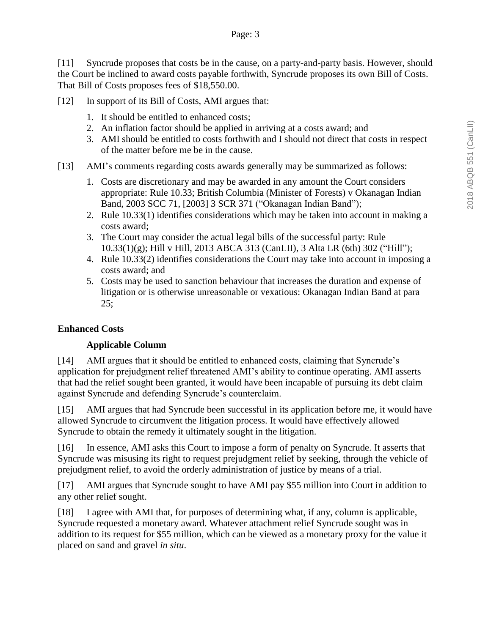[11] Syncrude proposes that costs be in the cause, on a party-and-party basis. However, should the Court be inclined to award costs payable forthwith, Syncrude proposes its own Bill of Costs. That Bill of Costs proposes fees of \$18,550.00.

- [12] In support of its Bill of Costs, AMI argues that:
	- 1. It should be entitled to enhanced costs;
	- 2. An inflation factor should be applied in arriving at a costs award; and
	- 3. AMI should be entitled to costs forthwith and I should not direct that costs in respect of the matter before me be in the cause.
- [13] AMI's comments regarding costs awards generally may be summarized as follows:
	- 1. Costs are discretionary and may be awarded in any amount the Court considers appropriate: Rule 10.33; British Columbia (Minister of Forests) v Okanagan Indian Band, 2003 SCC 71, [2003] 3 SCR 371 ("Okanagan Indian Band");
	- 2. Rule 10.33(1) identifies considerations which may be taken into account in making a costs award;
	- 3. The Court may consider the actual legal bills of the successful party: Rule 10.33(1)(g); Hill v Hill, 2013 ABCA 313 (CanLII), 3 Alta LR (6th) 302 ("Hill");
	- 4. Rule 10.33(2) identifies considerations the Court may take into account in imposing a costs award; and
	- 5. Costs may be used to sanction behaviour that increases the duration and expense of litigation or is otherwise unreasonable or vexatious: Okanagan Indian Band at para  $25;$

# **Enhanced Costs**

# **Applicable Column**

[14] AMI argues that it should be entitled to enhanced costs, claiming that Syncrude's application for prejudgment relief threatened AMI's ability to continue operating. AMI asserts that had the relief sought been granted, it would have been incapable of pursuing its debt claim against Syncrude and defending Syncrude's counterclaim.

[15] AMI argues that had Syncrude been successful in its application before me, it would have allowed Syncrude to circumvent the litigation process. It would have effectively allowed Syncrude to obtain the remedy it ultimately sought in the litigation.

[16] In essence, AMI asks this Court to impose a form of penalty on Syncrude. It asserts that Syncrude was misusing its right to request prejudgment relief by seeking, through the vehicle of prejudgment relief, to avoid the orderly administration of justice by means of a trial.

[17] AMI argues that Syncrude sought to have AMI pay \$55 million into Court in addition to any other relief sought.

[18] I agree with AMI that, for purposes of determining what, if any, column is applicable, Syncrude requested a monetary award. Whatever attachment relief Syncrude sought was in addition to its request for \$55 million, which can be viewed as a monetary proxy for the value it placed on sand and gravel *in situ*.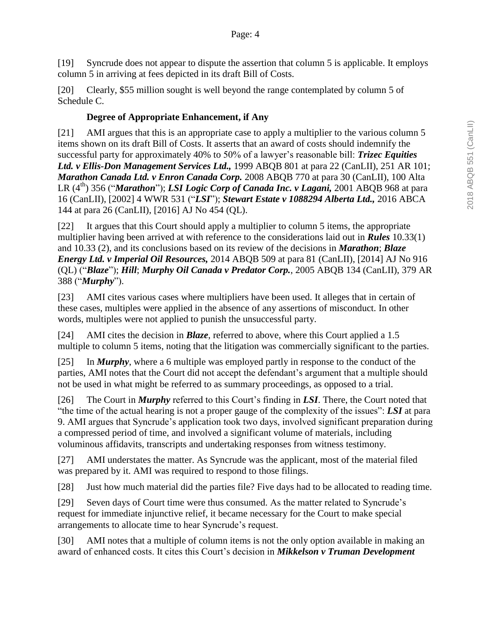[19] Syncrude does not appear to dispute the assertion that column 5 is applicable. It employs column 5 in arriving at fees depicted in its draft Bill of Costs.

[20] Clearly, \$55 million sought is well beyond the range contemplated by column 5 of Schedule C.

# **Degree of Appropriate Enhancement, if Any**

[21] AMI argues that this is an appropriate case to apply a multiplier to the various column 5 items shown on its draft Bill of Costs. It asserts that an award of costs should indemnify the successful party for approximately 40% to 50% of a lawyer's reasonable bill: *Trizec Equities Ltd. v Ellis-Don Management Services Ltd.,* 1999 ABQB 801 at para 22 (CanLII), 251 AR 101; *Marathon Canada Ltd. v Enron Canada Corp.* 2008 ABQB 770 at para 30 (CanLII), 100 Alta LR (4th) 356 ("*Marathon*"); *LSI Logic Corp of Canada Inc. v Lagani,* 2001 ABQB 968 at para 16 (CanLII), [2002] 4 WWR 531 ("*LSI*"); *Stewart Estate v 1088294 Alberta Ltd.,* 2016 ABCA 144 at para 26 (CanLII), [2016] AJ No 454 (QL).

[22] It argues that this Court should apply a multiplier to column 5 items, the appropriate multiplier having been arrived at with reference to the considerations laid out in *Rules* 10.33(1) and 10.33 (2), and its conclusions based on its review of the decisions in *Marathon*; *Blaze Energy Ltd. v Imperial Oil Resources,* 2014 ABQB 509 at para 81 (CanLII), [2014] AJ No 916 (QL) ("*Blaze*"); *Hill*; *Murphy Oil Canada v Predator Corp.*, 2005 ABQB 134 (CanLII), 379 AR 388 ("*Murphy*").

[23] AMI cites various cases where multipliers have been used. It alleges that in certain of these cases, multiples were applied in the absence of any assertions of misconduct. In other words, multiples were not applied to punish the unsuccessful party.

[24] AMI cites the decision in *Blaze*, referred to above, where this Court applied a 1.5 multiple to column 5 items, noting that the litigation was commercially significant to the parties.

[25] In *Murphy*, where a 6 multiple was employed partly in response to the conduct of the parties, AMI notes that the Court did not accept the defendant's argument that a multiple should not be used in what might be referred to as summary proceedings, as opposed to a trial.

[26] The Court in *Murphy* referred to this Court's finding in *LSI*. There, the Court noted that "the time of the actual hearing is not a proper gauge of the complexity of the issues": *LSI* at para 9. AMI argues that Syncrude's application took two days, involved significant preparation during a compressed period of time, and involved a significant volume of materials, including voluminous affidavits, transcripts and undertaking responses from witness testimony.

[27] AMI understates the matter. As Syncrude was the applicant, most of the material filed was prepared by it. AMI was required to respond to those filings.

[28] Just how much material did the parties file? Five days had to be allocated to reading time.

[29] Seven days of Court time were thus consumed. As the matter related to Syncrude's request for immediate injunctive relief, it became necessary for the Court to make special arrangements to allocate time to hear Syncrude's request.

[30] AMI notes that a multiple of column items is not the only option available in making an award of enhanced costs. It cites this Court's decision in *Mikkelson v Truman Development*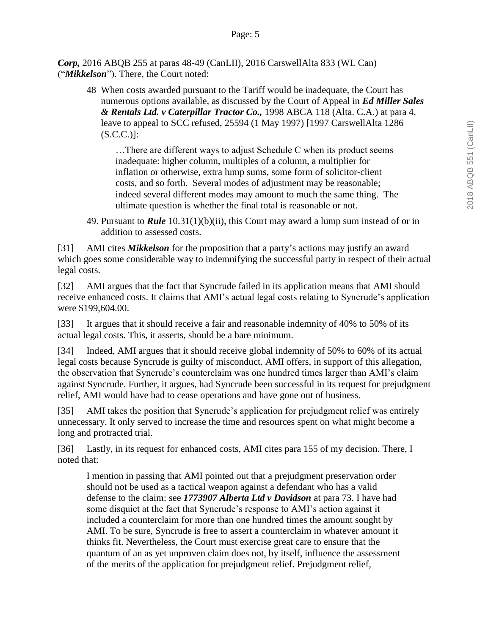*Corp,* 2016 ABQB 255 at paras 48-49 (CanLII), 2016 CarswellAlta 833 (WL Can) ("*Mikkelson*"). There, the Court noted:

48 When costs awarded pursuant to the Tariff would be inadequate, the Court has numerous options available, as discussed by the Court of Appeal in *Ed Miller Sales & Rentals Ltd. v Caterpillar Tractor Co.,* 1998 ABCA 118 (Alta. C.A.) at para 4, leave to appeal to SCC refused, 25594 (1 May 1997) [1997 CarswellAlta 1286  $(S.C.C.)$ ]:

…There are different ways to adjust Schedule C when its product seems inadequate: higher column, multiples of a column, a multiplier for inflation or otherwise, extra lump sums, some form of solicitor-client costs, and so forth. Several modes of adjustment may be reasonable; indeed several different modes may amount to much the same thing. The ultimate question is whether the final total is reasonable or not.

49. Pursuant to *Rule* 10.31(1)(b)(ii), this Court may award a lump sum instead of or in addition to assessed costs.

[31] AMI cites *Mikkelson* for the proposition that a party's actions may justify an award which goes some considerable way to indemnifying the successful party in respect of their actual legal costs.

[32] AMI argues that the fact that Syncrude failed in its application means that AMI should receive enhanced costs. It claims that AMI's actual legal costs relating to Syncrude's application were \$199,604.00.

[33] It argues that it should receive a fair and reasonable indemnity of 40% to 50% of its actual legal costs. This, it asserts, should be a bare minimum.

[34] Indeed, AMI argues that it should receive global indemnity of 50% to 60% of its actual legal costs because Syncrude is guilty of misconduct. AMI offers, in support of this allegation, the observation that Syncrude's counterclaim was one hundred times larger than AMI's claim against Syncrude. Further, it argues, had Syncrude been successful in its request for prejudgment relief, AMI would have had to cease operations and have gone out of business.

[35] AMI takes the position that Syncrude's application for prejudgment relief was entirely unnecessary. It only served to increase the time and resources spent on what might become a long and protracted trial.

[36] Lastly, in its request for enhanced costs, AMI cites para 155 of my decision. There, I noted that:

I mention in passing that AMI pointed out that a prejudgment preservation order should not be used as a tactical weapon against a defendant who has a valid defense to the claim: see *1773907 Alberta Ltd v Davidson* at para 73. I have had some disquiet at the fact that Syncrude's response to AMI's action against it included a counterclaim for more than one hundred times the amount sought by AMI. To be sure, Syncrude is free to assert a counterclaim in whatever amount it thinks fit. Nevertheless, the Court must exercise great care to ensure that the quantum of an as yet unproven claim does not, by itself, influence the assessment of the merits of the application for prejudgment relief. Prejudgment relief,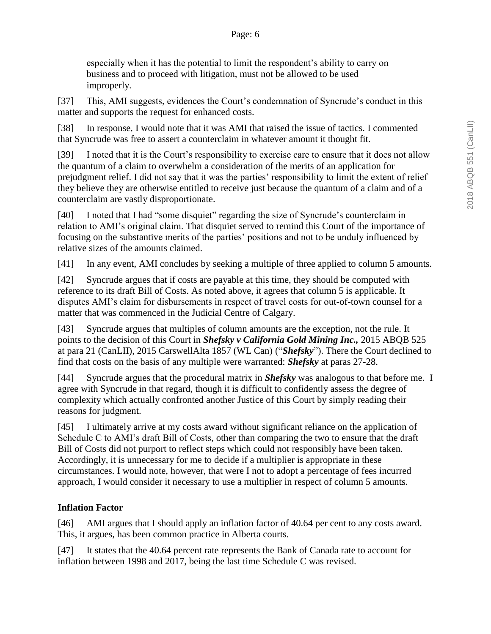especially when it has the potential to limit the respondent's ability to carry on business and to proceed with litigation, must not be allowed to be used improperly.

[37] This, AMI suggests, evidences the Court's condemnation of Syncrude's conduct in this matter and supports the request for enhanced costs.

[38] In response, I would note that it was AMI that raised the issue of tactics. I commented that Syncrude was free to assert a counterclaim in whatever amount it thought fit.

[39] I noted that it is the Court's responsibility to exercise care to ensure that it does not allow the quantum of a claim to overwhelm a consideration of the merits of an application for prejudgment relief. I did not say that it was the parties' responsibility to limit the extent of relief they believe they are otherwise entitled to receive just because the quantum of a claim and of a counterclaim are vastly disproportionate.

[40] I noted that I had "some disquiet" regarding the size of Syncrude's counterclaim in relation to AMI's original claim. That disquiet served to remind this Court of the importance of focusing on the substantive merits of the parties' positions and not to be unduly influenced by relative sizes of the amounts claimed.

[41] In any event, AMI concludes by seeking a multiple of three applied to column 5 amounts.

[42] Syncrude argues that if costs are payable at this time, they should be computed with reference to its draft Bill of Costs. As noted above, it agrees that column 5 is applicable. It disputes AMI's claim for disbursements in respect of travel costs for out-of-town counsel for a matter that was commenced in the Judicial Centre of Calgary.

[43] Syncrude argues that multiples of column amounts are the exception, not the rule. It points to the decision of this Court in *Shefsky v California Gold Mining Inc.,* 2015 ABQB 525 at para 21 (CanLII), 2015 CarswellAlta 1857 (WL Can) ("*Shefsky*"). There the Court declined to find that costs on the basis of any multiple were warranted: *Shefsky* at paras 27-28.

[44] Syncrude argues that the procedural matrix in *Shefsky* was analogous to that before me. I agree with Syncrude in that regard, though it is difficult to confidently assess the degree of complexity which actually confronted another Justice of this Court by simply reading their reasons for judgment.

[45] I ultimately arrive at my costs award without significant reliance on the application of Schedule C to AMI's draft Bill of Costs, other than comparing the two to ensure that the draft Bill of Costs did not purport to reflect steps which could not responsibly have been taken. Accordingly, it is unnecessary for me to decide if a multiplier is appropriate in these circumstances. I would note, however, that were I not to adopt a percentage of fees incurred approach, I would consider it necessary to use a multiplier in respect of column 5 amounts.

# **Inflation Factor**

[46] AMI argues that I should apply an inflation factor of 40.64 per cent to any costs award. This, it argues, has been common practice in Alberta courts.

[47] It states that the 40.64 percent rate represents the Bank of Canada rate to account for inflation between 1998 and 2017, being the last time Schedule C was revised.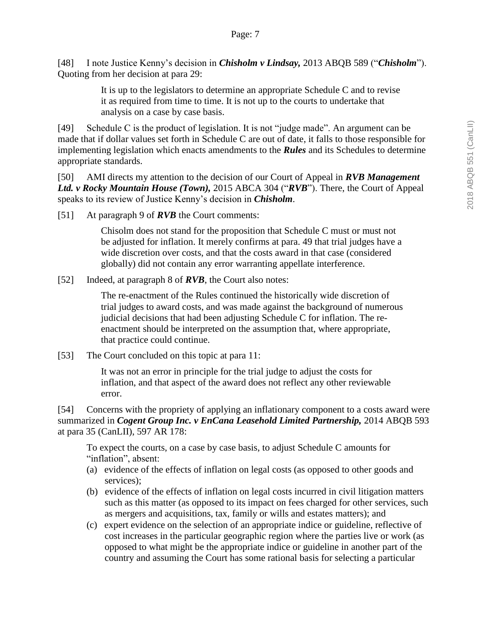[48] I note Justice Kenny's decision in *Chisholm v Lindsay,* 2013 ABQB 589 ("*Chisholm*"). Quoting from her decision at para 29:

> It is up to the legislators to determine an appropriate Schedule C and to revise it as required from time to time. It is not up to the courts to undertake that analysis on a case by case basis.

[49] Schedule C is the product of legislation. It is not "judge made". An argument can be made that if dollar values set forth in Schedule C are out of date, it falls to those responsible for implementing legislation which enacts amendments to the *Rules* and its Schedules to determine appropriate standards.

[50] AMI directs my attention to the decision of our Court of Appeal in *RVB Management Ltd. v Rocky Mountain House (Town),* 2015 ABCA 304 ("*RVB*"). There, the Court of Appeal speaks to its review of Justice Kenny's decision in *Chisholm*.

[51] At paragraph 9 of *RVB* the Court comments:

Chisolm does not stand for the proposition that Schedule C must or must not be adjusted for inflation. It merely confirms at para. 49 that trial judges have a wide discretion over costs, and that the costs award in that case (considered globally) did not contain any error warranting appellate interference.

[52] Indeed, at paragraph 8 of *RVB*, the Court also notes:

The re-enactment of the Rules continued the historically wide discretion of trial judges to award costs, and was made against the background of numerous judicial decisions that had been adjusting Schedule C for inflation. The reenactment should be interpreted on the assumption that, where appropriate, that practice could continue.

[53] The Court concluded on this topic at para 11:

It was not an error in principle for the trial judge to adjust the costs for inflation, and that aspect of the award does not reflect any other reviewable error.

[54] Concerns with the propriety of applying an inflationary component to a costs award were summarized in *Cogent Group Inc. v EnCana Leasehold Limited Partnership*, 2014 ABQB 593 at para 35 (CanLII), 597 AR 178:

To expect the courts, on a case by case basis, to adjust Schedule C amounts for "inflation", absent:

- (a) evidence of the effects of inflation on legal costs (as opposed to other goods and services);
- (b) evidence of the effects of inflation on legal costs incurred in civil litigation matters such as this matter (as opposed to its impact on fees charged for other services, such as mergers and acquisitions, tax, family or wills and estates matters); and
- (c) expert evidence on the selection of an appropriate indice or guideline, reflective of cost increases in the particular geographic region where the parties live or work (as opposed to what might be the appropriate indice or guideline in another part of the country and assuming the Court has some rational basis for selecting a particular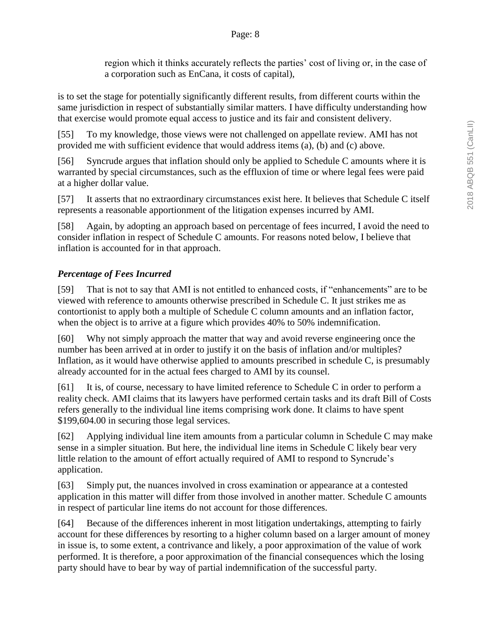region which it thinks accurately reflects the parties' cost of living or, in the case of a corporation such as EnCana, it costs of capital),

is to set the stage for potentially significantly different results, from different courts within the same jurisdiction in respect of substantially similar matters. I have difficulty understanding how that exercise would promote equal access to justice and its fair and consistent delivery.

[55] To my knowledge, those views were not challenged on appellate review. AMI has not provided me with sufficient evidence that would address items (a), (b) and (c) above.

[56] Syncrude argues that inflation should only be applied to Schedule C amounts where it is warranted by special circumstances, such as the effluxion of time or where legal fees were paid at a higher dollar value.

[57] It asserts that no extraordinary circumstances exist here. It believes that Schedule C itself represents a reasonable apportionment of the litigation expenses incurred by AMI.

[58] Again, by adopting an approach based on percentage of fees incurred, I avoid the need to consider inflation in respect of Schedule C amounts. For reasons noted below, I believe that inflation is accounted for in that approach.

# *Percentage of Fees Incurred*

[59] That is not to say that AMI is not entitled to enhanced costs, if "enhancements" are to be viewed with reference to amounts otherwise prescribed in Schedule C. It just strikes me as contortionist to apply both a multiple of Schedule C column amounts and an inflation factor, when the object is to arrive at a figure which provides 40% to 50% indemnification.

[60] Why not simply approach the matter that way and avoid reverse engineering once the number has been arrived at in order to justify it on the basis of inflation and/or multiples? Inflation, as it would have otherwise applied to amounts prescribed in schedule C, is presumably already accounted for in the actual fees charged to AMI by its counsel.

[61] It is, of course, necessary to have limited reference to Schedule C in order to perform a reality check. AMI claims that its lawyers have performed certain tasks and its draft Bill of Costs refers generally to the individual line items comprising work done. It claims to have spent \$199,604.00 in securing those legal services.

[62] Applying individual line item amounts from a particular column in Schedule C may make sense in a simpler situation. But here, the individual line items in Schedule C likely bear very little relation to the amount of effort actually required of AMI to respond to Syncrude's application.

[63] Simply put, the nuances involved in cross examination or appearance at a contested application in this matter will differ from those involved in another matter. Schedule C amounts in respect of particular line items do not account for those differences.

[64] Because of the differences inherent in most litigation undertakings, attempting to fairly account for these differences by resorting to a higher column based on a larger amount of money in issue is, to some extent, a contrivance and likely, a poor approximation of the value of work performed. It is therefore, a poor approximation of the financial consequences which the losing party should have to bear by way of partial indemnification of the successful party.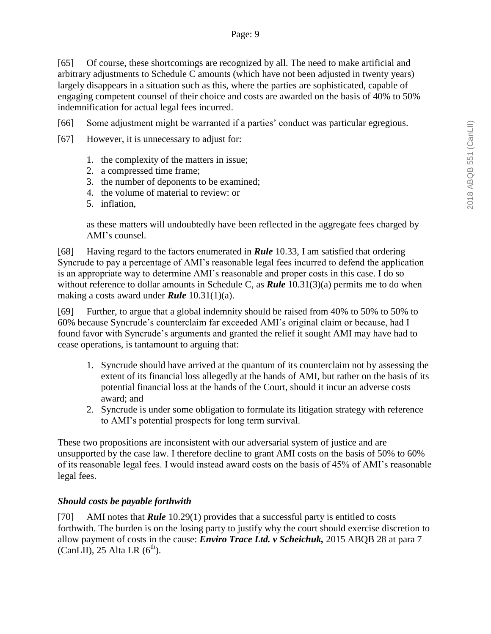[65] Of course, these shortcomings are recognized by all. The need to make artificial and arbitrary adjustments to Schedule C amounts (which have not been adjusted in twenty years) largely disappears in a situation such as this, where the parties are sophisticated, capable of engaging competent counsel of their choice and costs are awarded on the basis of 40% to 50% indemnification for actual legal fees incurred.

[66] Some adjustment might be warranted if a parties' conduct was particular egregious.

[67] However, it is unnecessary to adjust for:

- 1. the complexity of the matters in issue;
- 2. a compressed time frame;
- 3. the number of deponents to be examined;
- 4. the volume of material to review: or
- 5. inflation,

as these matters will undoubtedly have been reflected in the aggregate fees charged by AMI's counsel.

[68] Having regard to the factors enumerated in *Rule* 10.33, I am satisfied that ordering Syncrude to pay a percentage of AMI's reasonable legal fees incurred to defend the application is an appropriate way to determine AMI's reasonable and proper costs in this case. I do so without reference to dollar amounts in Schedule C, as *Rule* 10.31(3)(a) permits me to do when making a costs award under *Rule* 10.31(1)(a).

[69] Further, to argue that a global indemnity should be raised from 40% to 50% to 50% to 60% because Syncrude's counterclaim far exceeded AMI's original claim or because, had I found favor with Syncrude's arguments and granted the relief it sought AMI may have had to cease operations, is tantamount to arguing that:

- 1. Syncrude should have arrived at the quantum of its counterclaim not by assessing the extent of its financial loss allegedly at the hands of AMI, but rather on the basis of its potential financial loss at the hands of the Court, should it incur an adverse costs award; and
- 2. Syncrude is under some obligation to formulate its litigation strategy with reference to AMI's potential prospects for long term survival.

These two propositions are inconsistent with our adversarial system of justice and are unsupported by the case law. I therefore decline to grant AMI costs on the basis of 50% to 60% of its reasonable legal fees. I would instead award costs on the basis of 45% of AMI's reasonable legal fees.

### *Should costs be payable forthwith*

[70] AMI notes that *Rule* 10.29(1) provides that a successful party is entitled to costs forthwith. The burden is on the losing party to justify why the court should exercise discretion to allow payment of costs in the cause: *Enviro Trace Ltd. v Scheichuk,* 2015 ABQB 28 at para 7 (CanLII), 25 Alta LR  $(6<sup>th</sup>)$ .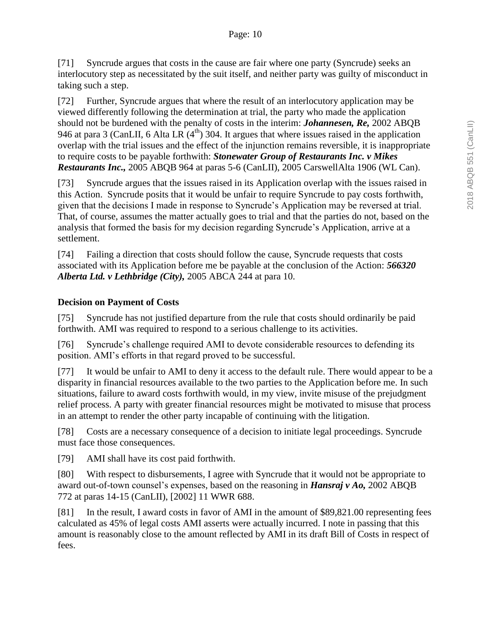[71] Syncrude argues that costs in the cause are fair where one party (Syncrude) seeks an interlocutory step as necessitated by the suit itself, and neither party was guilty of misconduct in taking such a step.

[72] Further, Syncrude argues that where the result of an interlocutory application may be viewed differently following the determination at trial, the party who made the application should not be burdened with the penalty of costs in the interim: *Johannesen, Re,* 2002 ABQB 946 at para 3 (CanLII, 6 Alta LR  $(4<sup>th</sup>)$  304. It argues that where issues raised in the application overlap with the trial issues and the effect of the injunction remains reversible, it is inappropriate to require costs to be payable forthwith: *Stonewater Group of Restaurants Inc. v Mikes Restaurants Inc.,* 2005 ABQB 964 at paras 5-6 (CanLII), 2005 CarswellAlta 1906 (WL Can).

[73] Syncrude argues that the issues raised in its Application overlap with the issues raised in this Action. Syncrude posits that it would be unfair to require Syncrude to pay costs forthwith, given that the decisions I made in response to Syncrude's Application may be reversed at trial. That, of course, assumes the matter actually goes to trial and that the parties do not, based on the analysis that formed the basis for my decision regarding Syncrude's Application, arrive at a settlement.

[74] Failing a direction that costs should follow the cause, Syncrude requests that costs associated with its Application before me be payable at the conclusion of the Action: *566320 Alberta Ltd. v Lethbridge (City),* 2005 ABCA 244 at para 10.

# **Decision on Payment of Costs**

[75] Syncrude has not justified departure from the rule that costs should ordinarily be paid forthwith. AMI was required to respond to a serious challenge to its activities.

[76] Syncrude's challenge required AMI to devote considerable resources to defending its position. AMI's efforts in that regard proved to be successful.

[77] It would be unfair to AMI to deny it access to the default rule. There would appear to be a disparity in financial resources available to the two parties to the Application before me. In such situations, failure to award costs forthwith would, in my view, invite misuse of the prejudgment relief process. A party with greater financial resources might be motivated to misuse that process in an attempt to render the other party incapable of continuing with the litigation.

[78] Costs are a necessary consequence of a decision to initiate legal proceedings. Syncrude must face those consequences.

[79] AMI shall have its cost paid forthwith.

[80] With respect to disbursements, I agree with Syncrude that it would not be appropriate to award out-of-town counsel's expenses, based on the reasoning in *Hansraj v Ao,* 2002 ABQB 772 at paras 14-15 (CanLII), [2002] 11 WWR 688.

[81] In the result, I award costs in favor of AMI in the amount of \$89,821.00 representing fees calculated as 45% of legal costs AMI asserts were actually incurred. I note in passing that this amount is reasonably close to the amount reflected by AMI in its draft Bill of Costs in respect of fees.